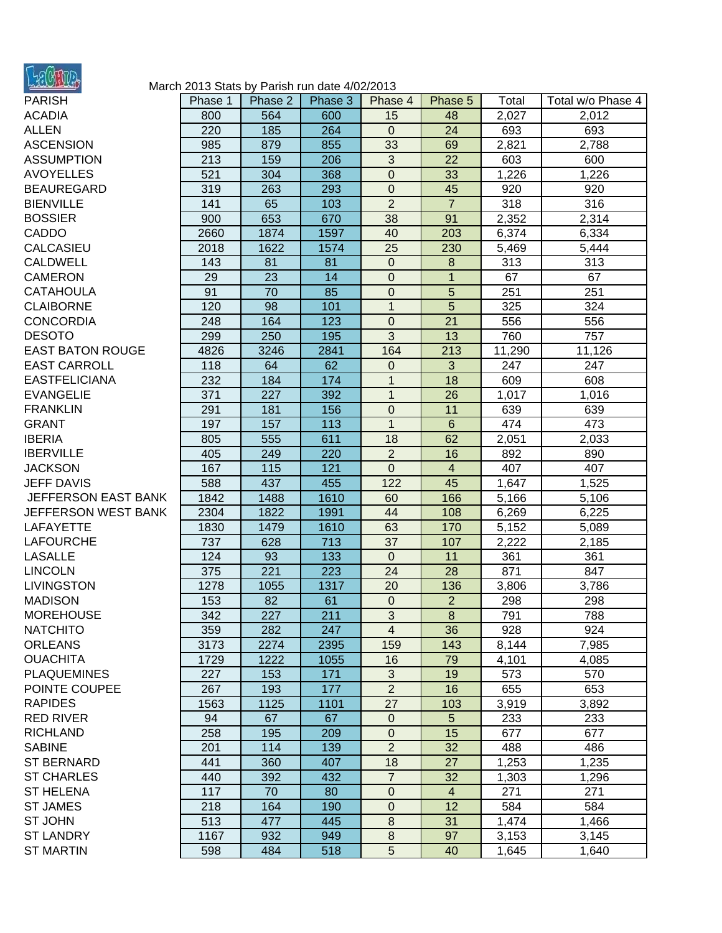

## March 2013 Stats by Parish run date 4/02/2013

| PARISH                  | Phase 1 | Phase 2 | Phase 3 | Phase 4          | Phase 5         | Total  | Total w/o Phase 4 |
|-------------------------|---------|---------|---------|------------------|-----------------|--------|-------------------|
| ACADIA                  | 800     | 564     | 600     | 15               | 48              | 2,027  | 2,012             |
| ALLEN                   | 220     | 185     | 264     | 0                | 24              | 693    | 693               |
| <b>ASCENSION</b>        | 985     | 879     | 855     | 33               | 69              | 2,821  | 2,788             |
| <b>ASSUMPTION</b>       | 213     | 159     | 206     | 3                | 22              | 603    | 600               |
| <b>AVOYELLES</b>        | 521     | 304     | 368     | $\boldsymbol{0}$ | 33              | 1,226  | 1,226             |
| <b>BEAUREGARD</b>       | 319     | 263     | 293     | $\pmb{0}$        | 45              | 920    | 920               |
| <b>BIENVILLE</b>        | 141     | 65      | 103     | $\overline{2}$   | $\overline{7}$  | 318    | 316               |
| <b>BOSSIER</b>          | 900     | 653     | 670     | 38               | 91              | 2,352  | 2,314             |
| CADDO                   | 2660    | 1874    | 1597    | 40               | 203             | 6,374  | 6,334             |
| CALCASIEU               | 2018    | 1622    | 1574    | 25               | 230             | 5,469  | 5,444             |
| <b>CALDWELL</b>         | 143     | 81      | 81      | $\pmb{0}$        | 8               | 313    | 313               |
| CAMERON                 | 29      | 23      | 14      | $\boldsymbol{0}$ | $\mathbf{1}$    | 67     | 67                |
| CATAHOULA               | 91      | 70      | 85      | $\mathbf 0$      | 5               | 251    | 251               |
| <b>CLAIBORNE</b>        | 120     | 98      | 101     | $\mathbf{1}$     | 5               | 325    | 324               |
| <b>CONCORDIA</b>        | 248     | 164     | 123     | $\overline{0}$   | 21              | 556    | 556               |
| <b>DESOTO</b>           | 299     | 250     | 195     | $\overline{3}$   | 13              | 760    | 757               |
| <b>EAST BATON ROUGE</b> | 4826    | 3246    | 2841    | 164              | 213             | 11,290 | 11,126            |
| <b>EAST CARROLL</b>     | 118     | 64      | 62      | $\pmb{0}$        | 3               | 247    | 247               |
| <b>EASTFELICIANA</b>    | 232     | 184     | 174     | $\mathbf{1}$     | $\overline{18}$ | 609    | 608               |
| <b>EVANGELIE</b>        | 371     | 227     | 392     | $\mathbf{1}$     | 26              | 1,017  | 1,016             |
| <b>FRANKLIN</b>         | 291     | 181     | 156     | $\boldsymbol{0}$ | 11              | 639    | 639               |
| <b>GRANT</b>            | 197     | 157     | 113     | $\mathbf{1}$     | $6\phantom{1}$  | 474    | 473               |
| <b>IBERIA</b>           | 805     | 555     | 611     | 18               | 62              | 2,051  | 2,033             |
| <b>IBERVILLE</b>        | 405     | 249     | 220     | $\overline{2}$   | 16              | 892    | 890               |
| <b>JACKSON</b>          | 167     | 115     | 121     | $\overline{0}$   | $\overline{4}$  | 407    | 407               |
| <b>JEFF DAVIS</b>       | 588     | 437     | 455     | 122              | 45              | 1,647  | 1,525             |
| JEFFERSON EAST BANK     | 1842    | 1488    | 1610    | 60               | 166             | 5,166  | 5,106             |
| JEFFERSON WEST BANK     | 2304    | 1822    | 1991    | 44               | 108             | 6,269  | 6,225             |
| LAFAYETTE               | 1830    | 1479    | 1610    | 63               | 170             | 5,152  | 5,089             |
| <b>LAFOURCHE</b>        | 737     | 628     | 713     | 37               | 107             | 2,222  | 2,185             |
| <b>LASALLE</b>          | 124     | 93      | 133     | $\boldsymbol{0}$ | 11              | 361    | 361               |
| <b>LINCOLN</b>          | 375     | 221     | 223     | 24               | 28              | 871    | 847               |
| <b>LIVINGSTON</b>       | 1278    | 1055    | 1317    | 20               | 136             | 3,806  | 3,786             |
| <b>MADISON</b>          | 153     | 82      | 61      | $\pmb{0}$        | 2 <sup>2</sup>  | 298    | 298               |
| <b>MOREHOUSE</b>        | 342     | 227     | 211     | $\overline{3}$   | 8               | 791    | 788               |
| NATCHITO                | 359     | 282     | 247     | $\overline{4}$   | 36              | 928    | 924               |
| <b>ORLEANS</b>          | 3173    | 2274    | 2395    | 159              | 143             | 8,144  | 7,985             |
| <b>OUACHITA</b>         | 1729    | 1222    | 1055    | 16               | 79              | 4,101  | 4,085             |
| <b>PLAQUEMINES</b>      | 227     | 153     | 171     | 3                | 19              | 573    | 570               |
| POINTE COUPEE           | 267     | 193     | 177     | $\overline{2}$   | 16              | 655    | 653               |
| <b>RAPIDES</b>          | 1563    | 1125    | 1101    | 27               | 103             | 3,919  | 3,892             |
| RED RIVER               | 94      | 67      | 67      | $\pmb{0}$        | 5               | 233    | 233               |
| <b>RICHLAND</b>         | 258     | 195     | 209     | $\pmb{0}$        | 15              | 677    | 677               |
| <b>SABINE</b>           | 201     | 114     | 139     | $\overline{2}$   | 32              | 488    | 486               |
| <b>ST BERNARD</b>       | 441     | 360     | 407     | 18               | 27              | 1,253  | 1,235             |
| <b>ST CHARLES</b>       | 440     | 392     | 432     | $\overline{7}$   | 32              | 1,303  | 1,296             |
| ST HELENA               | 117     | 70      | 80      | 0                | $\overline{4}$  | 271    | 271               |
| <b>ST JAMES</b>         | 218     | 164     | 190     | $\pmb{0}$        | 12              | 584    | 584               |
| ST JOHN                 | 513     | 477     | 445     | $\bf 8$          | 31              | 1,474  | 1,466             |
| <b>ST LANDRY</b>        | 1167    | 932     | 949     | $\,8\,$          | 97              | 3,153  | 3,145             |
| ST MARTIN               | 598     | 484     | 518     | 5                | 40              | 1,645  | 1,640             |
|                         |         |         |         |                  |                 |        |                   |